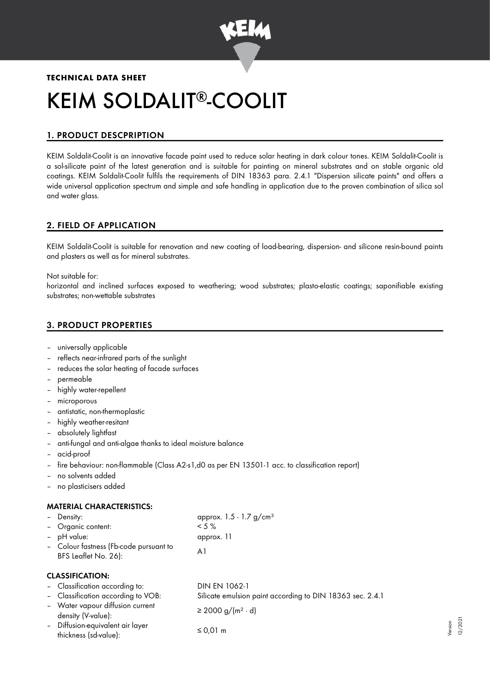

# **TECHNICAL DATA SHEET** KEIM SOLDALIT<sup>®</sup>-COOLIT

# 1. PRODUCT DESCPRIPTION

KEIM Soldalit-Coolit is an innovative facade paint used to reduce solar heating in dark colour tones. KEIM Soldalit-Coolit is a sol-silicate paint of the latest generation and is suitable for painting on mineral substrates and on stable organic old coatings. KEIM Soldalit-Coolit fulfils the requirements of DIN 18363 para. 2.4.1 "Dispersion silicate paints" and offers a wide universal application spectrum and simple and safe handling in application due to the proven combination of silica sol and water glass.

# 2. FIELD OF APPLICATION

KEIM Soldalit-Coolit is suitable for renovation and new coating of load-bearing, dispersion- and silicone resin-bound paints and plasters as well as for mineral substrates.

Not suitable for:

horizontal and inclined surfaces exposed to weathering; wood substrates; plasto-elastic coatings; saponifiable existing substrates; non-wettable substrates

# 3. PRODUCT PROPERTIES

- universally applicable
- reflects near-infrared parts of the sunlight
- reduces the solar heating of facade surfaces
- permeable
- highly water-repellent
- microporous
- antistatic, non-thermoplastic
- highly weather-resitant
- absolutely lightfast
- anti-fungal and anti-algae thanks to ideal moisture balance
- acid-proof
- fire behaviour: non-flammable (Class A2-s1,d0 as per EN 13501-1 acc. to classification report)
- no solvents added
- no plasticisers added

## MATERIAL CHARACTERISTICS:

| - Density:                                                     | approx. $1.5 - 1.7$ g/cm <sup>3</sup> |
|----------------------------------------------------------------|---------------------------------------|
| - Organic content:                                             | $< 5 \%$                              |
| - pH value:                                                    | approx. 11                            |
| - Colour fastness (Fb-code pursuant to<br>BFS Leaflet No. 26): | Αl                                    |
|                                                                |                                       |

#### CLASSIFICATION:

| - Classification according to:                            | <b>DIN EN 1062-1</b>                                      |
|-----------------------------------------------------------|-----------------------------------------------------------|
| - Classification according to VOB:                        | Silicate emulsion paint according to DIN 18363 sec. 2.4.1 |
| - Water vapour diffusion current<br>density (V-value):    | $\geq$ 2000 g/(m <sup>2</sup> · d)                        |
| - Diffusion-equivalent air layer<br>thickness (sd-value): | $\leq$ 0.01 m                                             |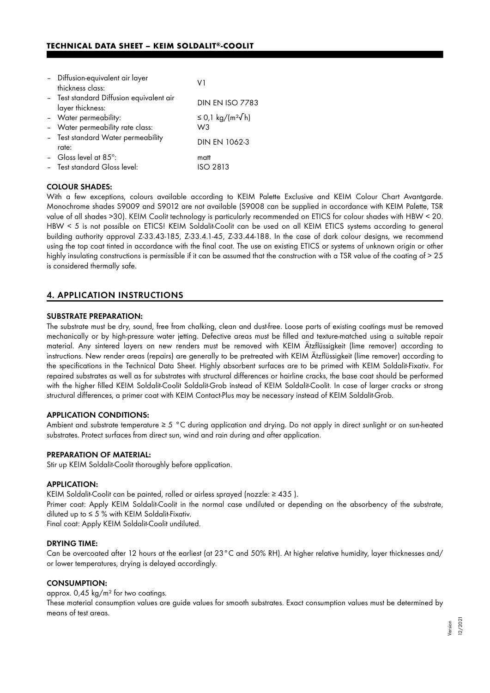| - Diffusion-equivalent air layer<br>thickness class:         | V1                                    |
|--------------------------------------------------------------|---------------------------------------|
| - Test standard Diffusion equivalent air<br>layer thickness: | <b>DIN EN ISO 7783</b>                |
| - Water permeability:                                        | ≤ 0,1 kg/(m <sup>2</sup> $\sqrt{}$ h) |
| - Water permeability rate class:                             | W <sub>3</sub>                        |
| - Test standard Water permeability<br>rate:                  | DIN EN 1062-3                         |
| - Gloss level at 85 $^{\circ}$ :                             | matt                                  |
| - Test standard Gloss level:                                 | <b>ISO 2813</b>                       |

#### COLOUR SHADES:

With a few exceptions, colours available according to KEIM Palette Exclusive and KEIM Colour Chart Avantgarde. Monochrome shades S9009 and S9012 are not available (S9008 can be supplied in accordance with KEIM Palette, TSR value of all shades >30). KEIM Coolit technology is particularly recommended on ETICS for colour shades with HBW < 20. HBW < 5 is not possible on ETICS! KEIM Soldalit-Coolit can be used on all KEIM ETICS systems according to general building authority approval Z-33.43-185, Z-33.4.1-45, Z-33.44-188. In the case of dark colour designs, we recommend using the top coat tinted in accordance with the final coat. The use on existing ETICS or systems of unknown origin or other highly insulating constructions is permissible if it can be assumed that the construction with a TSR value of the coating of > 25 is considered thermally safe.

## 4. APPLICATION INSTRUCTIONS

#### SUBSTRATE PREPARATION:

The substrate must be dry, sound, free from chalking, clean and dust-free. Loose parts of existing coatings must be removed mechanically or by high-pressure water jetting. Defective areas must be filled and texture-matched using a suitable repair material. Any sintered layers on new renders must be removed with KEIM Ätzflüssigkeit (lime remover) according to instructions. New render areas (repairs) are generally to be pretreated with KEIM Ätzflüssigkeit (lime remover) according to the specifications in the Technical Data Sheet. Highly absorbent surfaces are to be primed with KEIM Soldalit-Fixativ. For repaired substrates as well as for substrates with structural differences or hairline cracks, the base coat should be performed with the higher filled KEIM Soldalit-Coolit Soldalit-Grob instead of KEIM Soldalit-Coolit. In case of larger cracks or strong structural differences, a primer coat with KEIM Contact-Plus may be necessary instead of KEIM Soldalit-Grob.

#### APPLICATION CONDITIONS:

Ambient and substrate temperature ≥ 5 °C during application and drying. Do not apply in direct sunlight or on sun-heated substrates. Protect surfaces from direct sun, wind and rain during and after application.

#### PREPARATION OF MATERIAL:

Stir up KEIM Soldalit-Coolit thoroughly before application.

#### APPLICATION:

KEIM Soldalit-Coolit can be painted, rolled or airless sprayed (nozzle: ≥ 435 ).

Primer coat: Apply KEIM Soldalit-Coolit in the normal case undiluted or depending on the absorbency of the substrate, diluted up to  $\leq$  5 % with KEIM Soldalit-Fixativ.

Final coat: Apply KEIM Soldalit-Coolit undiluted.

#### DRYING TIME:

Can be overcoated after 12 hours at the earliest (at 23°C and 50% RH). At higher relative humidity, layer thicknesses and/ or lower temperatures, drying is delayed accordingly.

### CONSUMPTION:

approx. 0,45 kg/m² for two coatings.

These material consumption values are guide values for smooth substrates. Exact consumption values must be determined by means of test areas.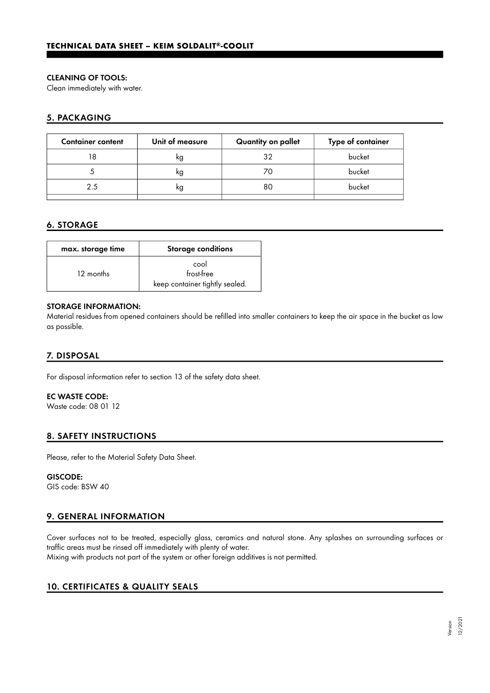## CLEANING OF TOOLS:

Clean immediately with water.

# 5. PACKAGING

| <b>Container content</b> | Unit of measure | Quantity on pallet | Type of container |
|--------------------------|-----------------|--------------------|-------------------|
|                          | ĸg              | 32                 | bucket            |
|                          | ĸg              | ZΟ                 | bucket            |
| 25                       | ĸg              | 80                 | bucket            |
|                          |                 |                    |                   |

# 6. STORAGE

| max. storage time | <b>Storage conditions</b>                            |
|-------------------|------------------------------------------------------|
| 12 months         | cool<br>frost-free<br>keep container tightly sealed. |

## STORAGE INFORMATION:

Material residues from opened containers should be refilled into smaller containers to keep the air space in the bucket as low as possible.

# 7. DISPOSAL

For disposal information refer to section 13 of the safety data sheet.

## EC WASTE CODE:

Waste code: 08 01 12

## 8. SAFETY INSTRUCTIONS

Please, refer to the Material Safety Data Sheet.

#### GISCODE:

GIS code: BSW 40

# 9. GENERAL INFORMATION

Cover surfaces not to be treated, especially glass, ceramics and natural stone. Any splashes on surrounding surfaces or traffic areas must be rinsed off immediately with plenty of water.

Mixing with products not part of the system or other foreign additives is not permitted.

# 10. CERTIFICATES & QUALITY SEALS